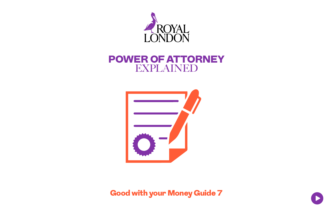

# POWER OF ATTORNEY EXPLAINED



Good with your Money Guide 7

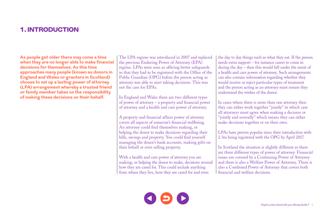#### 1. INTRODUCTION

**As people get older there may come a time when they are no longer able to make financial decisions for themselves. As this time approaches many people (known as donors in England and Wales or granters in Scotland) choose to set up a lasting power of attorney (LPA) arrangement whereby a trusted friend or family member takes on the responsibility of making these decisions on their behalf.** 

The LPA regime was introduced in 2007 and replaced the previous Enduring Power of Attorney (EPA) regime. LPAs were seen as offering better safeguards in that they had to be registered with the Office of the Public Guardian (OPG) before the person acting as attorney was able to start taking decisions. This was not the case for EPAs.

In England and Wales there are two different types of power of attorney – a property and financial power of attorney and a health and care power of attorney.

A property and financial affairs power of attorney covers all aspects of someone's financial wellbeing. An attorney could find themselves making, or helping the donor to make decisions regarding their bills, savings and property. You could find yourself managing the donor's bank accounts, making gifts on their behalf or even selling property.

With a health and care power of attorney you are making, or helping the donor to make, decisions around how they are cared for. This could include anything from where they live, how they are cared for and even

the day to day things such as what they eat. If the person needs extra support – for instance carers to come in during the day – then this would fall under the remit of a health and care power of attorney. Such arrangements can also contain information regarding whether they would receive or reject particular types of treatment and the person acting as an attorney must ensure they understand the wishes of the donor.

In cases where there is more than one attorney then they can either work together "jointly" in which case all attorneys must agree when making a decision or "jointly and severally" which means they can either make decisions together or on their own.

LPAs have proven popular since their introduction with 2.3m being registered with the OPG by April 2017.

In Scotland the situation is slightly different as there are three different types of power of attorney. Financial issues are covered by a Continuing Power of Attorney and there is also a Welfare Power of Attorney. There is also a Combined Power of Attorney that covers both financial and welfare decisions.

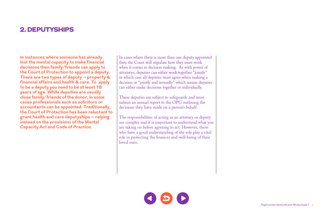### 2. DEPUTYSHIPS

**In instances where someone has already lost the mental capacity to make financial decisions then family/friends can apply to the Court of Protection to appoint a deputy. There are two types of deputy – property & financial affairs and health & care. To apply to be a deputy you need to be at least 18 years of age. While deputies are usually close family/friends of the donor, in some cases professionals such as solicitors or accountants can be appointed. Traditionally, the Court of Protection has been reluctant to grant health and care deputyships – relying instead on the provisions of the Mental Capacity Act and Code of Practice.**

In cases where there is more than one deputy appointed then the Court will stipulate how they must work when it comes to decision making. As with power of attorneys, deputies can either work together "jointly" in which case all deputies must agree when making a decision or "jointly and severally" which means deputies can either make decisions together or individually.

These deputies are subject to safeguards and must submit an annual report to the OPG outlining the decisions they have made on a person's behalf.

The responsibilities of acting as an attorney or deputy are complex and it is important to understand what you are taking on before agreeing to act. However, those who have a good understanding of the role play a vital role in protecting the finances and well-being of their loved ones.

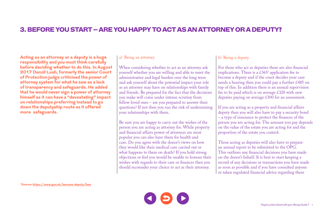### 3. BEFORE YOU START – ARE YOU HAPPY TO ACT AS AN ATTORNEY OR A DEPUTY?

**Acting as an attorney or a deputy is a huge responsibility and you must think carefully before deciding whether to do this. In August 2017 Denzil Lush, formerly the senior Court of Protection judge criticised the power of attorney system for what he saw as a lack of transparency and safeguards. He added that he would never sign a power of attorney himself as it can have a "devastating" impact on relationships preferring instead to go down the deputyship route as it offered more safeguards.** 

#### a) Being an attorney

When considering whether to act as an attorney ask yourself whether you are willing and able to meet the administrative and legal burden over the long term and ask yourself about the potential impact your role as an attorney may have on relationships with family and friends. Be prepared for the fact that the decisions you make will come under intense scrutiny from fellow loved ones – are you prepared to answer their questions? If not then you run the risk of undermining your relationships with them.

Be sure you are happy to carry out the wishes of the person you are acting as attorney for. While property and financial affairs power of attorneys are most popular you can also have them for health and care. Do you agree with the donor's views on how they would like their medical care carried out or what happens to them on death? If you hold strong objections or feel you would be unable to honour their wishes with regards to their care or finances then you should reconsider your choice to act as their attorney.

#### b) Being a deputy

For those who act as deputies there are also financial implications. There is a  $\&365^1$  application fee to become a deputy and if the court decides your case needs a hearing then you could pay a further £485 on top of this. In addition there is an annual supervision fee to be paid which is on average  $\text{\pounds}320$  with new deputies paying on average £100 for an assessment.

If you are acting as a property and financial affairs deputy then you will also have to pay a security bond – a type of insurance to protect the finances of the person you are acting for. The amount you pay depends on the value of the estate you are acting for and the proportion of the estate you control.

Those acting as deputies will also have to prepare an annual report to be submitted to the OPG. This outlines any financial decisions you have made on the donor's behalf. It is best to start keeping a record of any decisions or transactions you have made as soon as possible and if you have consulted anyone or taken regulated financial advice regarding these

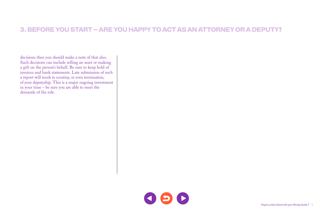### 3. BEFORE YOU START – ARE YOU HAPPY TO ACT AS AN ATTORNEY OR A DEPUTY?

decisions then you should make a note of that also. Such decisions can include selling an asset or making a gift on the person's behalf. Be sure to keep hold of invoices and bank statements. Late submission of such a report will result in scrutiny, or even termination, of your deputyship. This is a major ongoing investment in your time – be sure you are able to meet the demands of the role.

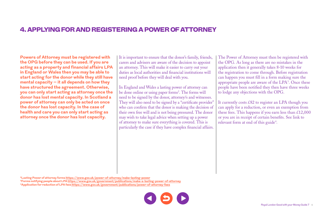### 4. APPLYING FOR AND REGISTERING A POWER OF ATTORNEY

**Powers of Attorney must be registered with the OPG before they can be used. If you are acting as a property and financial affairs LPA in England or Wales then you may be able to start acting for the donor while they still have mental capacity – it all depends on how they have structured the agreement. Otherwise, you can only start acting as attorney once the donor has lost mental capacity. In Scotland a power of attorney can only be acted on once the donor has lost capacity. In the case of health and care you can only start acting as attorney once the donor has lost capacity.**

It is important to ensure that the donor's family, friends, carers and advisers are aware of the decision to appoint an attorney. This will make it easier to carry out your duties as local authorities and financial institutions will need proof before they will deal with you.

In England and Wales a lasting power of attorney can be done online or using paper forms<sup>2</sup>. The forms will need to be signed by the donor, attorney/s and witnesses. They will also need to be signed by a "certificate provider" who can confirm that the donor is making the decision of their own free will and is not being pressured. The donor may wish to take legal advice when setting up a power of attorney to make sure everything is covered. This is particularly the case if they have complex financial affairs.

The Power of Attorney must then be registered with the OPG. As long as there are no mistakes in the application then it generally takes 8-10 weeks for the registration to come through. Before registration can happen you must fill in a form making sure the appropriate people are aware of the LPA3 . Once these people have been notified they then have three weeks to lodge any objections with the OPG.

It currently costs £82 to register an LPA though you can apply for a reduction, or even an exemption from these fees. This happens if you earn less than  $\text{\pounds}12,000$ or you are in receipt of certain benefits. See link to relevant form at end of this guide<sup>4</sup>.

**2Lasting Power of attorney forms <https://www.gov.uk/power-of-attorney/make-lasting-power> 3Forms notifying people about LPA<https://www.gov.uk/government/publications/make-a-lasting-power-of-attorney> 4Application for reduction of LPA fees [https://www.gov.uk/government/publications/power-of-attorney-fees](https://www.gov.uk/government/publications/make-a-lasting-power-of-attorney)**

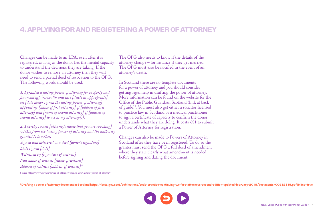### 4. APPLYING FOR AND REGISTERING A POWER OF ATTORNEY

Changes can be made to an LPA, even after it is registered, as long as the donor has the mental capacity to understand the decisions they are taking. If the donor wishes to remove an attorney then they will need to send a partial deed of revocation to the OPG. The following words should be used.

*1: I granted a lasting power of attorney for property and financial affairs/health and care [delete as appropriate] on [date donor signed the lasting power of attorney] appointing [name of first attorney] of [address of first attorney] and [name of second attorney] of [address of second attorney] to act as my attorney(s).*

*2: I hereby revoke [attorney's name that you are revoking] ONLY from the lasting power of attorney and the authority granted to him/her. Signed and delivered as a deed [donor's signature] Date signed [date] Witnessed by [signature of witness] Full name of witness [name of witness] Address of witness [address of witness]"* Source<https://www.gov.uk/power-of-attorney/change-your-lasting-power-of-attorney>

The OPG also needs to know if the details of the attorney change – for instance if they get married. The OPG must also be notified in the event of an attorney's death.

In Scotland there are no template documents for a power of attorney and you should consider getting legal help in drafting the power of attorney. More information can be found on the website for the Office of the Public Guardian Scotland (link at back of guide)5 . You must also get either a solicitor licensed to practice law in Scotland or a medical practitioner to sign a certificate of capacity to confirm the donor understands what they are doing. It costs £81 to submit a Power of Attorney for registration.

Changes can also be made to Powers of Attorney in Scotland after they have been registered. To do so the granter must send the OPG a full deed of amendment where they state clearly what amendment is needed before signing and dating the document.

**5Drafting a power of attorney document in Scotland<https://beta.gov.scot/publications/code-practice-continuing-welfare-attorneys-second-edition-updated-february-2018/documents/00532315.pdf?inline=true>**

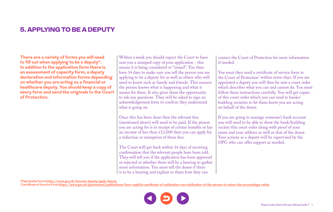# 5. APPLYING TO BE A DEPUTY

**There are a variety of forms you will need to fill out when applying to be a deputy6. In addition to the application form there is an assessment of capacity form, a deputy declaration and information forms depending on whether you are acting as a financial or healthcare deputy. You should keep a copy of every form and send the originals to the Court of Protection.** 

Within a week you should expect the Court to have sent you a stamped copy of your application - this means it is being considered or "issued". You then have 14 days to make sure you tell the person you are applying to be a deputy for as well as others who will need to know such as family and friends. This ensures the person knows what is happening and what it means for them. It also gives them the opportunity to ask any questions. They will be asked to sign an acknowledgement form to confirm they understand what is going on.

Once this has been done then the relevant fees (mentioned above) will need to be paid. If the person you are acting for is in receipt of certain benefits or has an income of less than  $\&12,000$  then you can apply for a reduction or exemption of these fees.

The Court will get back within 14 days of receiving confirmation that the relevant people have been told. They will tell you if the application has been approved or rejected or whether there will be a hearing to gather more information. You must tell the donor if there is to be a hearing and explain to them how they can

contact the Court of Protection for more information if needed.

You must then send a certificate of service form to the Court of Protection<sup>7</sup> within seven days. If you are appointed a deputy you will then be sent a court order which describes what you can and cannot do. You must follow these instructions carefully. You will get copies of this court order which you can send to banks/ building societies to let them know you are acting on behalf of the donor.

If you are going to manage someone's bank account you will need to be able to show the bank/building society this court order along with proof of your name and your address as well as that of the donor. Your actions as a deputy will be supervised by the OPG who can offer support as needed.

**6Deputyship forms <https://www.gov.uk/become-deputy/apply-deputy>**

**7Certificate of Service Form <https://www.gov.uk/government/publications/form-cop20a-certificate-of-notification-non-notification-of-the-person-to-whom-the-proceedings-relate>**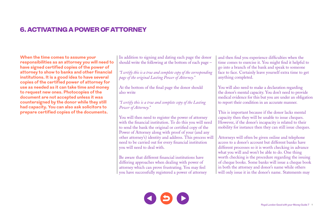# 6. ACTIVATING A POWER OF ATTORNEY

**When the time comes to assume your responsibilities as an attorney you will need to have signed certified copies of the power of attorney to show to banks and other financial institutions. It is a good idea to have several copies of the certified power of attorney for use as needed as it can take time and money to request new ones. Photocopies of the document are not accepted unless it was countersigned by the donor while they still had capacity. You can also ask solicitors to prepare certified copies of the documents.**

In addition to signing and dating each page the donor should write the following at the bottom of each page –

*"I certify this is a true and complete copy of the corresponding page of the original Lasting Power of Attorney."*

At the bottom of the final page the donor should also write

*"I certify this is a true and complete copy of the Lasting Power of Attorney."* 

You will then need to register the power of attorney with the financial institution. To do this you will need to send the bank the original or certified copy of the Power of Attorney along with proof of your (and any other attorney's) identity and address. This process will need to be carried out for every financial institution you will need to deal with.

Be aware that different financial institutions have differing approaches when dealing with power of attorney which can prove frustrating. You may feel you have successfully registered a power of attorney and then find you experience difficulties when the time comes to exercise it. You might find it helpful to go into a branch of the bank and speak to someone face to face. Certainly leave yourself extra time to get anything completed.

You will also need to make a declaration regarding the donor's mental capacity. You don't need to provide medical evidence for this but you are under an obligation to report their condition in an accurate manner.

This is important because if the donor lacks mental capacity then they will be unable to issue cheques. However, if the donor's incapacity is related to their mobility for instance then they can still issue cheques.

Attorneys will often be given online and telephone access to a donor's account but different banks have different processes so it is worth checking in advance what you will and won't be able to do. One thing worth checking is the procedure regarding the issuing of cheque books. Some banks will issue a cheque book in both the attorney and donor's name while others will only issue it in the donor's name. Statements may

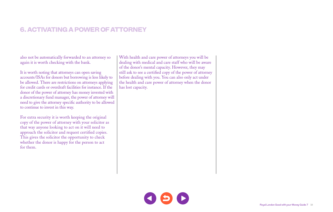# 6. ACTIVATING A POWER OF ATTORNEY

also not be automatically forwarded to an attorney so again it is worth checking with the bank.

It is worth noting that attorneys can open saving accounts/ISAs for donors but borrowing is less likely to be allowed. There are restrictions on attorneys applying for credit cards or overdraft facilities for instance. If the donor of the power of attorney has money invested with a discretionary fund manager, the power of attorney will need to give the attorney specific authority to be allowed to continue to invest in this way.

For extra security it is worth keeping the original copy of the power of attorney with your solicitor as that way anyone looking to act on it will need to approach the solicitor and request certified copies. This gives the solicitor the opportunity to check whether the donor is happy for the person to act for them.

With health and care power of attorneys you will be dealing with medical and care staff who will be aware of the donor's mental capacity. However, they may still ask to see a certified copy of the power of attorney before dealing with you. You can also only act under the health and care power of attorney when the donor has lost capacity.

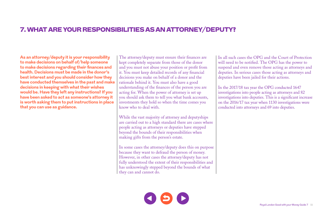### 7. WHAT ARE YOUR RESPONSIBILITIES AS AN ATTORNEY/DEPUTY?

**As an attorney/deputy it is your responsibility to make decisions on behalf of/help someone to make decisions regarding their finances and health. Decisions must be made in the donor's best interest and you should consider how they have conducted themselves in the past and make decisions in keeping with what their wishes would be. Have they left any instructions? If you have been asked to act as someone's attorney it is worth asking them to put instructions in place that you can use as guidance.** 

The attorney/deputy must ensure their finances are kept completely separate from those of the donor and you must not abuse your position or profit from it. You must keep detailed records of any financial decisions you make on behalf of a donor and the rationale behind it. You must also have a good understanding of the finances of the person you are acting for. When the power of attorney is set up you should ask them to tell you what bank accounts, investments they hold so when the time comes you know who to deal with.

While the vast majority of attorney and deputyships are carried out to a high standard there are cases where people acting as attorneys or deputies have stepped beyond the bounds of their responsibilities when making gifts from the person's estate.

In some cases the attorney/deputy does this on purpose because they want to defraud the person of money. However, in other cases the attorney/deputy has not fully understood the extent of their responsibilities and has unknowingly stepped beyond the bounds of what they can and cannot do.

In all such cases the OPG and the Court of Protection will need to be notified. The OPG has the power to suspend and even remove those acting as attorneys and deputies. In serious cases those acting as attorneys and deputies have been jailed for their actions.

In the 2017/18 tax year the OPG conducted 1647 investigations into people acting as attorneys and 82 investigations into deputies. This is a significant increase on the 2016/17 tax year when 1130 investigations were conducted into attorneys and 69 into deputies.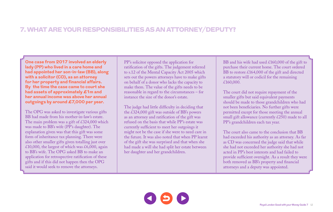### 7. WHAT ARE YOUR RESPONSIBILITIES AS AN ATTORNEY/DEPUTY?

**One case from 2017 involved an elderly lady (PP) who lived in a care home and had appointed her son-in-law (BB), along with a solicitor (CD), as an attorney for her property and financial affairs. By the time the case came to court she had assets of approximately £1m and her annual income was above her annual outgoings by around £7,000 per year.** 

The OPG was asked to investigate various gifts BB had made from his mother-in-law's estate. The main problem was a gift of £324,000 which was made to BB's wife (PP's daughter). The explanation given was that this gift was some form of inheritance tax planning. There were also other smaller gifts given totalling just over £10,000, the largest of which was £6,000, again to BB's wife. The OPG asked BB to make an application for retrospective ratification of these gifts and if this did not happen then the OPG said it would seek to remove the attorneys.

PP's solicitor opposed the application for ratification of the gifts. The judgement referred to s.12 of the Mental Capacity Act 2005 which sets out the powers attorneys have to make gifts on behalf of a donor who lacks the capacity to make them. The value of the gifts needs to be reasonable in regard to the circumstances – for instance the size of the donor's estate.

The judge had little difficulty in deciding that the £324,000 gift was outside of BB's powers as an attorney and ratification of the gift was refused on the basis that while PP's estate was currently sufficient to meet her outgoings it might not be the case if she were to need care in the future. It was also noted that when PP learnt of the gift she was surprised and that when she had made a will she had split her estate between her daughter and her grandchildren.

BB and his wife had used £160,000 of the gift to purchase their current home. The court ordered BB to restore £164,000 of the gift and directed a statutory will or codicil for the remaining £160,000.

The court did not require repayment of the smaller gifts but said equivalent payments should be made to those grandchildren who had not been beneficiaries. No further gifts were permitted except for those meeting the annual small gift allowance (currently £250) made to all PP's grandchildren each tax year.

The court also came to the conclusion that BB had exceeded his authority as an attorney. As far as CD was concerned the judge said that while she had not exceeded her authority she had not acted in PP's best interests and had failed to provide sufficient oversight. As a result they were both removed as BB's property and financial attorneys and a deputy was appointed.

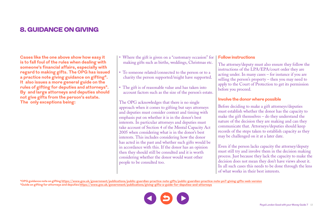# 8. GUIDANCE ON GIVING

**Cases like the one above show how easy it is to fall foul of the rules when dealing with someone's financial affairs, especially with regard to making gifts. The OPG has issued a practice note giving guidance on gifting8. It also issues a more general guide on the rules of gifting for deputies and attorneys9. By and large attorneys and deputies should not give gifts from the person's estate. The only exceptions being:**

- Where the gift is given on a "customary occasion" for making gifts such as births, weddings, Christmas etc.
- To someone related/connected to the person or to a charity the person supported/might have supported.
- The gift is of reasonable value and has taken into account factors such as the size of the person's estate.

The OPG acknowledges that there is no single approach when it comes to gifting but says attorneys and deputies must consider context and timing with emphasis put on whether it is in the donor's best interests. In particular attorneys and deputies must take account of Section 4 of the Mental Capacity Act 2005 when considering what is in the donor's best interests. This includes considering how the donor has acted in the past and whether such gifts would be in accordance with this. If the donor has an opinion then they should still be consulted and it is worth considering whether the donor would want other people to be consulted too.

#### **Follow instructions**

The attorney/deputy must also ensure they follow the instructions of the LPA/EPA/court order they are acting under. In many cases – for instance if you are selling the person's property – then you may need to apply to the Court of Protection to get its permission before you proceed.

#### **Involve the donor where possible**

Before deciding to make a gift attorneys/deputies must establish whether the donor has the capacity to make the gift themselves – do they understand the nature of the decision they are making and can they communicate that. Attorneys/deputies should keep records of the steps taken to establish capacity as they may be challenged on it at a later date.

Even if the person lacks capacity the attorney/deputy must still try and involve them in the decision making process. Just because they lack the capacity to make the decision does not mean they don't have views about it. In all such cases this needs to be done through the lens of what works in their best interests.

**8OPG guidance note on gifting <https://www.gov.uk/government/publications/public-guardian-practice-note-gifts/public-guardian-practice-note-pn7-giving-gifts-web-version> 9Guide on gifting for attorneys and deputies [https://www.gov.uk/government/publications/giving-gifts-a-guide-for-deputies-and-attorneys](https://www.gov.uk/government/publications/public-guardian-practice-note-gifts/public-guardian-practice-note-pn7-giving-gifts-web-version)**

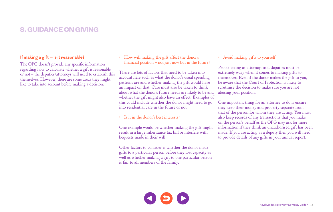# 8. GUIDANCE ON GIVING

#### **If making a gift – is it reasonable?**

The OPG doesn't provide any specific information regarding how to calculate whether a gift is reasonable or not – the deputies/attorneys will need to establish this themselves. However, there are some areas they might like to take into account before making a decision.

• How will making the gift affect the donor's financial position – not just now but in the future?

There are lots of factors that need to be taken into account here such as what the donor's usual spending patterns are and whether making the gift would have an impact on that. Care must also be taken to think about what the donor's future needs are likely to be and whether the gift might also have an effect. Examples of this could include whether the donor might need to go into residential care in the future or not.

• Is it in the donor's best interests?

One example would be whether making the gift might result in a large inheritance tax bill or interfere with bequests made in their will.

Other factors to consider is whether the donor made gifts to a particular person before they lost capacity as well as whether making a gift to one particular person is fair to all members of the family.

#### • Avoid making gifts to yourself

People acting as attorneys and deputies must be extremely wary when it comes to making gifts to themselves. Even if the donor makes the gift to you, be aware that the Court of Protection is likely to scrutinise the decision to make sure you are not abusing your position.

One important thing for an attorney to do is ensure they keep their money and property separate from that of the person for whom they are acting. You must also keep records of any transactions that you make on the person's behalf as the OPG may ask for more information if they think an unauthorised gift has been made. If you are acting as a deputy then you will need to provide details of any gifts in your annual report.

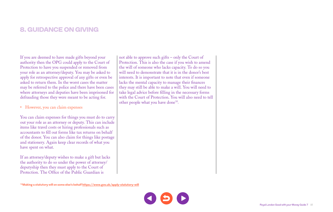# 8. GUIDANCE ON GIVING

If you are deemed to have made gifts beyond your authority then the OPG could apply to the Court of Protection to have you suspended or removed from your role as an attorney/deputy. You may be asked to apply for retrospective approval of any gifts or even be asked to return them. In the worst cases the matter may be referred to the police and there have been cases where attorneys and deputies have been imprisoned for defrauding those they were meant to be acting for.

• However, you can claim expenses

You can claim expenses for things you must do to carry out your role as an attorney or deputy. This can include items like travel costs or hiring professionals such as accountants to fill out forms like tax returns on behalf of the donor. You can also claim for things like postage and stationery. Again keep clear records of what you have spent on what.

If an attorney/deputy wishes to make a gift but lacks the authority to do so under the power of attorney/ deputyship then they must apply to the Court of Protection. The Office of the Public Guardian is

not able to approve such gifts – only the Court of Protection. This is also the case if you wish to amend the will of someone who lacks capacity. To do so you will need to demonstrate that it is in the donor's best interests. It is important to note that even if someone lacks the mental capacity to manage their finances they may still be able to make a will. You will need to take legal advice before filling in the necessary forms with the Court of Protection. You will also need to tell other people what you have done<sup>10</sup>.

**10Making a statutory will on some else's behalf<https://www.gov.uk/apply-statutory-will>**

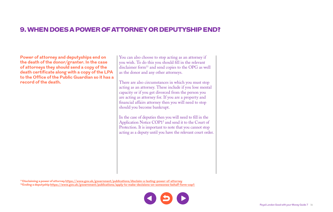### 9. WHEN DOES A POWER OF ATTORNEY OR DEPUTYSHIP END?

**Power of attorney and deputyships end on the death of the donor/granter. In the case of attorneys they should send a copy of the death certificate along with a copy of the LPA to the Office of the Public Guardian so it has a record of the death.** 

You can also choose to stop acting as an attorney if you wish. To do this you should fill in the relevant disclaimer form<sup>11</sup> and send copies to the OPG as well as the donor and any other attorneys.

There are also circumstances in which you must stop acting as an attorney. These include if you lose mental capacity or if you get divorced from the person you are acting as attorney for. If you are a property and financial affairs attorney then you will need to stop should you become bankrupt.

In the case of deputies then you will need to fill in the Application Notice COP12 and send it to the Court of Protection. It is important to note that you cannot stop acting as a deputy until you have the relevant court order.

**11Disclaiming a power of attorney <https://www.gov.uk/government/publications/disclaim-a-lasting-power-of-attorney> 12Ending a deputyship <https://www.gov.uk/government/publications/apply-to-make-decisions-on-someones-behalf-form-cop1>**

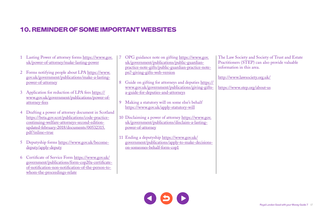# 10. REMINDER OF SOME IMPORTANT WEBSITES

| Lasting Power of attorney forms https://www.gov.<br>uk/power-of-attorney/make-lasting-power                                                                                                |   | OPG guidance note on gifting https://www.gov.<br>uk/government/publications/public-guardian-<br>practice-note-gifts/public-guardian-practice-note- | The Law Society and Society of Trust and Estate<br>Practitioners (STEP) can also provide valuable<br>information in this area. |
|--------------------------------------------------------------------------------------------------------------------------------------------------------------------------------------------|---|----------------------------------------------------------------------------------------------------------------------------------------------------|--------------------------------------------------------------------------------------------------------------------------------|
| Forms notifying people about LPA https://www.<br>gov.uk/government/publications/make-a-lasting-                                                                                            |   | pn7-giving-gifts-web-version                                                                                                                       | http://www.lawsociety.org.uk/                                                                                                  |
| power-of-attorney<br>3 Application for reduction of LPA fees https://                                                                                                                      | 8 | Guide on gifting for attorneys and deputies https://<br>www.gov.uk/government/publications/giving-gifts-<br>a-guide-for-deputies-and-attorneys     | https://www.step.org/about-us                                                                                                  |
| www.gov.uk/government/publications/power-of-<br>attorney-fees                                                                                                                              | 9 | Making a statutory will on some else's behalf                                                                                                      |                                                                                                                                |
| 4 Drafting a power of attorney document in Scotland                                                                                                                                        |   | https://www.gov.uk/apply-statutory-will                                                                                                            |                                                                                                                                |
| https://beta.gov.scot/publications/code-practice-<br>continuing-welfare-attorneys-second-edition-<br>updated-february-2018/documents/00532315.<br>pdf?inline=true                          |   | 10 Disclaiming a power of attorney https://www.gov.<br>uk/government/publications/disclaim-a-lasting-<br>power-of-attorney                         |                                                                                                                                |
| 5 Deputyship forms https://www.gov.uk/become-<br>deputy/apply-deputy                                                                                                                       |   | 11 Ending a deputyship https://www.gov.uk/<br>government/publications/apply-to-make-decisions-<br>on-someones-behalf-form-cop1                     |                                                                                                                                |
| 6 Certificate of Service Form https://www.gov.uk/<br>government/publications/form-cop20a-certificate-<br>of-notification-non-notification-of-the-person-to-<br>whom-the-proceedings-relate |   |                                                                                                                                                    |                                                                                                                                |